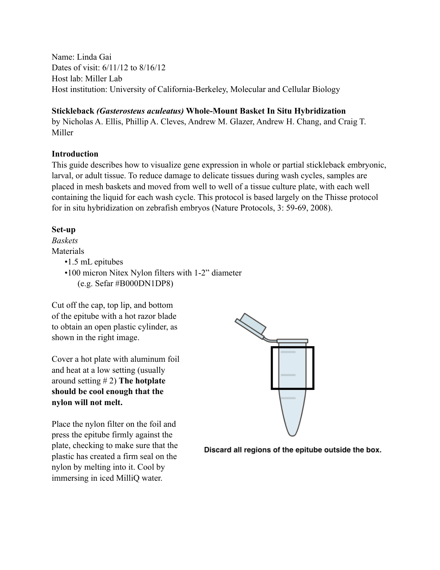Name: Linda Gai Dates of visit: 6/11/12 to 8/16/12 Host lab: Miller Lab Host institution: University of California-Berkeley, Molecular and Cellular Biology

#### **Stickleback** *(Gasterosteus aculeatus)* **Whole-Mount Basket In Situ Hybridization**

by Nicholas A. Ellis, Phillip A. Cleves, Andrew M. Glazer, Andrew H. Chang, and Craig T. Miller

#### **Introduction**

This guide describes how to visualize gene expression in whole or partial stickleback embryonic, larval, or adult tissue. To reduce damage to delicate tissues during wash cycles, samples are placed in mesh baskets and moved from well to well of a tissue culture plate, with each well containing the liquid for each wash cycle. This protocol is based largely on the Thisse protocol for in situ hybridization on zebrafish embryos (Nature Protocols, 3: 59-69, 2008).

#### **Set-up**

*Baskets* Materials

- •1.5 mL epitubes
- •100 micron Nitex Nylon filters with 1-2" diameter (e.g. Sefar #B000DN1DP8)

Cut off the cap, top lip, and bottom of the epitube with a hot razor blade to obtain an open plastic cylinder, as shown in the right image.

Cover a hot plate with aluminum foil and heat at a low setting (usually around setting # 2) **The hotplate should be cool enough that the nylon will not melt.**

Place the nylon filter on the foil and press the epitube firmly against the plate, checking to make sure that the plastic has created a firm seal on the nylon by melting into it. Cool by immersing in iced MilliQ water.



Discard all regions of the epitube outside the box.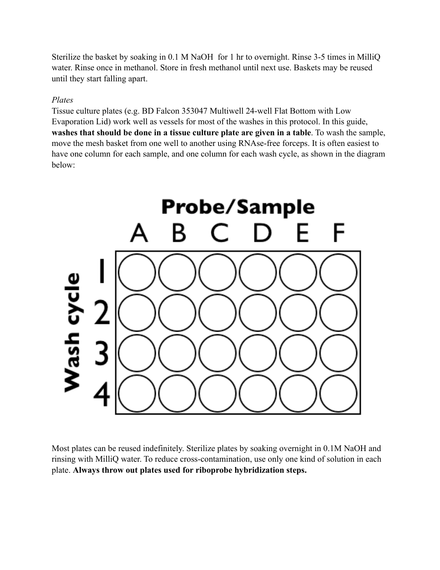Sterilize the basket by soaking in 0.1 M NaOH for 1 hr to overnight. Rinse 3-5 times in MilliQ water. Rinse once in methanol. Store in fresh methanol until next use. Baskets may be reused until they start falling apart.

#### *Plates*

Tissue culture plates (e.g. BD Falcon 353047 Multiwell 24-well Flat Bottom with Low Evaporation Lid) work well as vessels for most of the washes in this protocol. In this guide, **washes that should be done in a tissue culture plate are given in a table**. To wash the sample, move the mesh basket from one well to another using RNAse-free forceps. It is often easiest to have one column for each sample, and one column for each wash cycle, as shown in the diagram below:



Most plates can be reused indefinitely. Sterilize plates by soaking overnight in 0.1M NaOH and rinsing with MilliQ water. To reduce cross-contamination, use only one kind of solution in each plate. **Always throw out plates used for riboprobe hybridization steps.**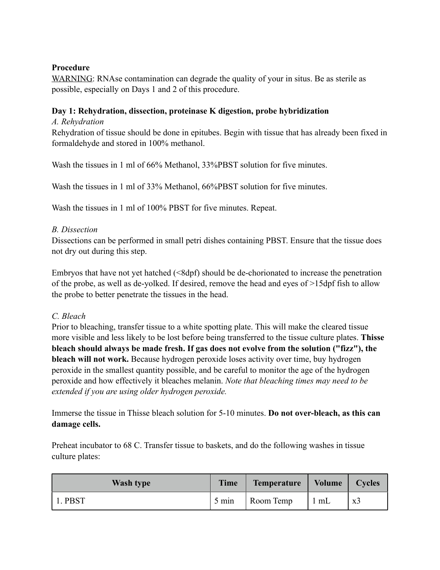## **Procedure**

WARNING: RNAse contamination can degrade the quality of your in situs. Be as sterile as possible, especially on Days 1 and 2 of this procedure.

# **Day 1: Rehydration, dissection, proteinase K digestion, probe hybridization**

## *A. Rehydration*

Rehydration of tissue should be done in epitubes. Begin with tissue that has already been fixed in formaldehyde and stored in 100% methanol.

Wash the tissues in 1 ml of 66% Methanol, 33%PBST solution for five minutes.

Wash the tissues in 1 ml of 33% Methanol, 66%PBST solution for five minutes.

Wash the tissues in 1 ml of 100% PBST for five minutes. Repeat.

## *B. Dissection*

Dissections can be performed in small petri dishes containing PBST. Ensure that the tissue does not dry out during this step.

Embryos that have not yet hatched (<8dpf) should be de-chorionated to increase the penetration of the probe, as well as de-yolked. If desired, remove the head and eyes of >15dpf fish to allow the probe to better penetrate the tissues in the head.

## *C. Bleach*

Prior to bleaching, transfer tissue to a white spotting plate. This will make the cleared tissue more visible and less likely to be lost before being transferred to the tissue culture plates. **Thisse bleach should always be made fresh. If gas does not evolve from the solution ("fizz"), the bleach will not work.** Because hydrogen peroxide loses activity over time, buy hydrogen peroxide in the smallest quantity possible, and be careful to monitor the age of the hydrogen peroxide and how effectively it bleaches melanin. *Note that bleaching times may need to be extended if you are using older hydrogen peroxide.* 

Immerse the tissue in Thisse bleach solution for 5-10 minutes. **Do not over-bleach, as this can damage cells.**

Preheat incubator to 68 C. Transfer tissue to baskets, and do the following washes in tissue culture plates:

| <b>Wash type</b> | <b>Time</b> | Temperature | Volume | <b>Cycles</b>  |
|------------------|-------------|-------------|--------|----------------|
| 1. PBST          | 5 min       | Room Temp   | 1 mL   | x <sub>3</sub> |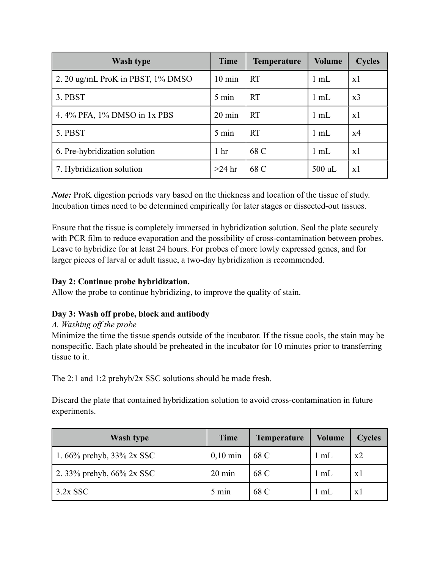| <b>Wash type</b>                  | <b>Time</b>      | <b>Temperature</b> | <b>Volume</b>  | <b>Cycles</b> |
|-----------------------------------|------------------|--------------------|----------------|---------------|
| 2. 20 ug/mL ProK in PBST, 1% DMSO | $10 \text{ min}$ | <b>RT</b>          | $1 \text{ mL}$ | x1            |
| 3. PBST                           | 5 min            | <b>RT</b>          | $1 \text{ mL}$ | x3            |
| 4.4% PFA, 1% DMSO in 1x PBS       | $20 \text{ min}$ | <b>RT</b>          | $1 \text{ mL}$ | x1            |
| 5. PBST                           | 5 min            | <b>RT</b>          | $1 \text{ mL}$ | x4            |
| 6. Pre-hybridization solution     | 1 <sub>hr</sub>  | 68 C               | $1 \text{ mL}$ | x1            |
| 7. Hybridization solution         | $>24$ hr         | 68 C               | $500$ uL       | x1            |

*Note:* ProK digestion periods vary based on the thickness and location of the tissue of study. Incubation times need to be determined empirically for later stages or dissected-out tissues.

Ensure that the tissue is completely immersed in hybridization solution. Seal the plate securely with PCR film to reduce evaporation and the possibility of cross-contamination between probes. Leave to hybridize for at least 24 hours. For probes of more lowly expressed genes, and for larger pieces of larval or adult tissue, a two-day hybridization is recommended.

## **Day 2: Continue probe hybridization.**

Allow the probe to continue hybridizing, to improve the quality of stain.

# **Day 3: Wash off probe, block and antibody**

## *A. Washing off the probe*

Minimize the time the tissue spends outside of the incubator. If the tissue cools, the stain may be nonspecific. Each plate should be preheated in the incubator for 10 minutes prior to transferring tissue to it.

The 2:1 and 1:2 prehyb/2x SSC solutions should be made fresh.

Discard the plate that contained hybridization solution to avoid cross-contamination in future experiments.

| <b>Wash type</b>             | <b>Time</b>      | <b>Temperature</b> | Volume         | <b>Cycles</b> |
|------------------------------|------------------|--------------------|----------------|---------------|
| 1.66% prehyb, $33\%$ 2x SSC  | $0,10$ min       | 68 C               | $1 \text{ mL}$ | x2            |
| 2. 33% prehyb, $66\%$ 2x SSC | $20 \text{ min}$ | 68 C               | $1 \text{ mL}$ | x l           |
| $3.2x$ SSC                   | 5 min            | 68 C               | 1 mL           | $\mathbf{X}$  |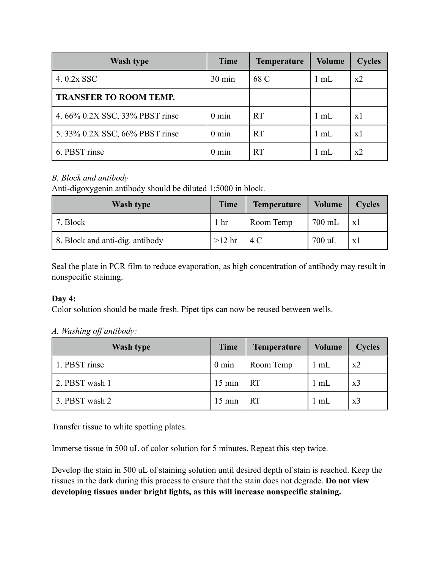| <b>Wash type</b>               | <b>Time</b>     | <b>Temperature</b> | <b>Volume</b>  | <b>Cycles</b> |
|--------------------------------|-----------------|--------------------|----------------|---------------|
| 4.0.2x SSC                     | 30 min          | 68 C               | $1 \text{ mL}$ | x2            |
| <b>TRANSFER TO ROOM TEMP.</b>  |                 |                    |                |               |
| 4.66% 0.2X SSC, 33% PBST rinse | $0 \text{ min}$ | <b>RT</b>          | $1 \text{ mL}$ | x1            |
| 5.33% 0.2X SSC, 66% PBST rinse | $0 \text{ min}$ | <b>RT</b>          | $1 \text{ mL}$ | x1            |
| 6. PBST rinse                  | $0 \text{ min}$ | <b>RT</b>          | $1 \text{ mL}$ | x2            |

# *B. Block and antibody*

Anti-digoxygenin antibody should be diluted 1:5000 in block.

| <b>Wash type</b>                | <b>Time</b>     | <b>Temperature</b> | Volume | <b>Cycles</b>  |
|---------------------------------|-----------------|--------------------|--------|----------------|
| 7. Block                        | 1 <sub>hr</sub> | Room Temp          | 700 mL | $\mathbf{x}$ 1 |
| 8. Block and anti-dig. antibody | $>12$ hr        | 4 C                | 700 uL | X.             |

Seal the plate in PCR film to reduce evaporation, as high concentration of antibody may result in nonspecific staining.

## **Day 4:**

Color solution should be made fresh. Pipet tips can now be reused between wells.

## *A. Washing off antibody:*

| <b>Wash type</b> | <b>Time</b>      | <b>Temperature</b> | <b>Volume</b>  | <b>Cycles</b>  |
|------------------|------------------|--------------------|----------------|----------------|
| 1. PBST rinse    | $0 \text{ min}$  | Room Temp          | $1 \text{ mL}$ | x2             |
| 2. PBST wash 1   | $15 \text{ min}$ | <b>RT</b>          | 1 mL           | x <sub>3</sub> |
| 3. PBST wash 2   | $15 \text{ min}$ | <b>RT</b>          | $1 \text{ mL}$ | x <sub>3</sub> |

Transfer tissue to white spotting plates.

Immerse tissue in 500 uL of color solution for 5 minutes. Repeat this step twice.

Develop the stain in 500 uL of staining solution until desired depth of stain is reached. Keep the tissues in the dark during this process to ensure that the stain does not degrade. **Do not view developing tissues under bright lights, as this will increase nonspecific staining.**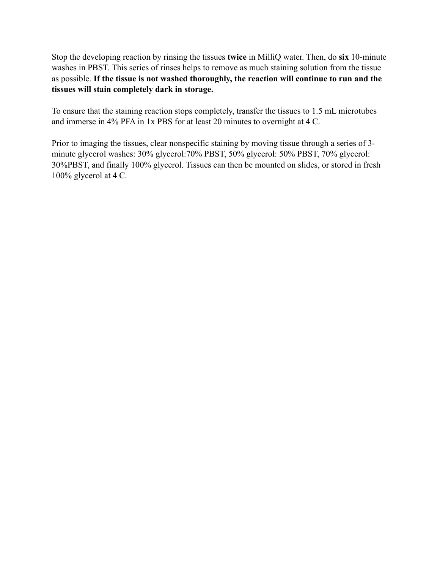Stop the developing reaction by rinsing the tissues **twice** in MilliQ water. Then, do **six** 10-minute washes in PBST. This series of rinses helps to remove as much staining solution from the tissue as possible. **If the tissue is not washed thoroughly, the reaction will continue to run and the tissues will stain completely dark in storage.**

To ensure that the staining reaction stops completely, transfer the tissues to 1.5 mL microtubes and immerse in 4% PFA in 1x PBS for at least 20 minutes to overnight at 4 C.

Prior to imaging the tissues, clear nonspecific staining by moving tissue through a series of 3 minute glycerol washes: 30% glycerol:70% PBST, 50% glycerol: 50% PBST, 70% glycerol: 30%PBST, and finally 100% glycerol. Tissues can then be mounted on slides, or stored in fresh 100% glycerol at 4 C.